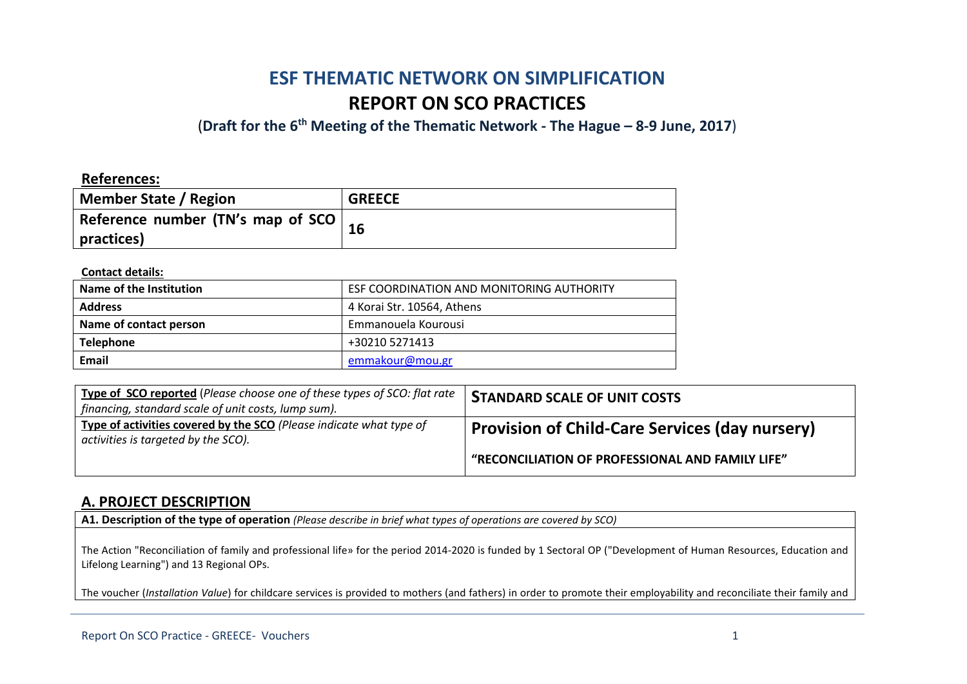# **ESF THEMATIC NETWORK ON SIMPLIFICATION REPORT ON SCO PRACTICES**

(**Draft for the 6th Meeting of the Thematic Network - The Hague – 8-9 June, 2017**)

### **References:**

| <b>Member State / Region</b>                 | <b>GREECE</b> |
|----------------------------------------------|---------------|
| Reference number (TN's map of SCO $\vert$ 16 |               |
| practices)                                   |               |

#### **Contact details:**

| Name of the Institution | ESF COORDINATION AND MONITORING AUTHORITY |  |
|-------------------------|-------------------------------------------|--|
| <b>Address</b>          | 4 Korai Str. 10564, Athens                |  |
| Name of contact person  | Emmanouela Kourousi                       |  |
| <b>Telephone</b>        | +30210 5271413                            |  |
| Email                   | emmakour@mou.gr                           |  |

| <b>Type of SCO reported</b> (Please choose one of these types of SCO: flat rate  <br>financing, standard scale of unit costs, lump sum). | <b>STANDARD SCALE OF UNIT COSTS</b>                   |
|------------------------------------------------------------------------------------------------------------------------------------------|-------------------------------------------------------|
| Type of activities covered by the SCO (Please indicate what type of<br>activities is targeted by the SCO).                               | <b>Provision of Child-Care Services (day nursery)</b> |
|                                                                                                                                          | "RECONCILIATION OF PROFESSIONAL AND FAMILY LIFE"      |

### **A. PROJECT DESCRIPTION**

**A1. Description of the type of operation** *(Please describe in brief what types of operations are covered by SCO)*

The Action "Reconciliation of family and professional life» for the period 2014-2020 is funded by 1 Sectoral OP ("Development of Human Resources, Education and Lifelong Learning") and 13 Regional OPs.

The voucher (*Installation Value*) for childcare services is provided to mothers (and fathers) in order to promote their employability and reconciliate their family and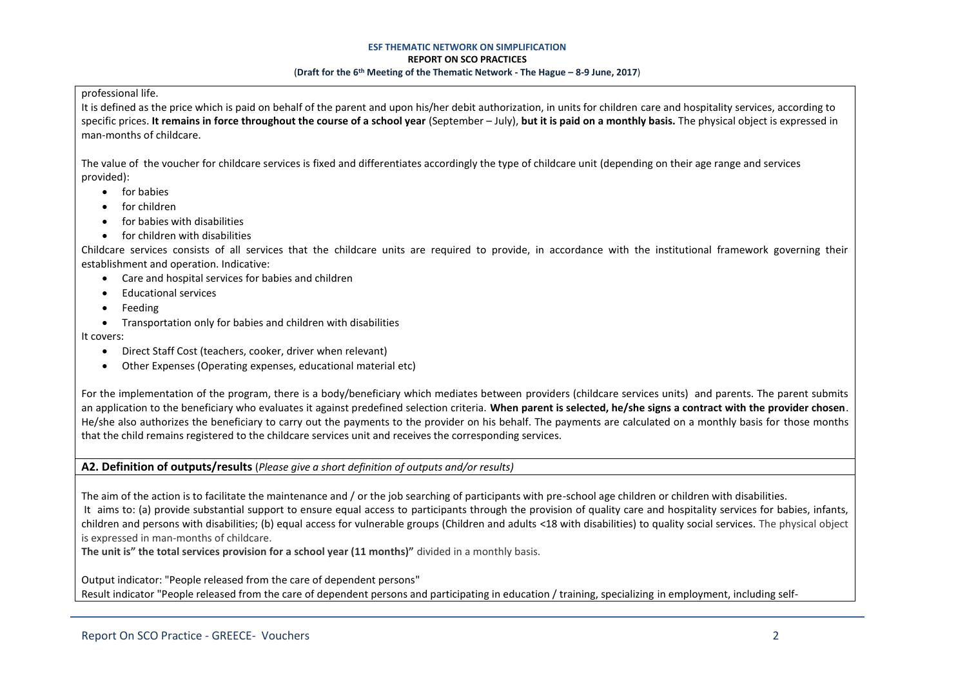#### professional life.

It is defined as the price which is paid on behalf of the parent and upon his/her debit authorization, in units for children care and hospitality services, according to specific prices. **It remains in force throughout the course of a school year** (September – July), **but it is paid on a monthly basis.** The physical object is expressed in man-months of childcare.

The value of the voucher for childcare services is fixed and differentiates accordingly the type of childcare unit (depending on their age range and services provided):

- **•** for babies
- for children
- for babies with disabilities
- for children with disabilities

Childcare services consists of all services that the childcare units are required to provide, in accordance with the institutional framework governing their establishment and operation. Indicative:

- Care and hospital services for babies and children
- Educational services
- Feeding
- Transportation only for babies and children with disabilities

It covers:

- Direct Staff Cost (teachers, cooker, driver when relevant)
- Other Expenses (Operating expenses, educational material etc)

For the implementation of the program, there is a body/beneficiary which mediates between providers (childcare services units) and parents. The parent submits an application to the beneficiary who evaluates it against predefined selection criteria. **When parent is selected, he/she signs a contract with the provider chosen**. He/she also authorizes the beneficiary to carry out the payments to the provider on his behalf. The payments are calculated on a monthly basis for those months that the child remains registered to the childcare services unit and receives the corresponding services.

### **A2. Definition of outputs/results** (*Please give a short definition of outputs and/or results)*

The aim of the action is to facilitate the maintenance and / or the job searching of participants with pre-school age children or children with disabilities. It aims to: (a) provide substantial support to ensure equal access to participants through the provision of quality care and hospitality services for babies, infants, children and persons with disabilities; (b) equal access for vulnerable groups (Children and adults <18 with disabilities) to quality social services. The physical object is expressed in man-months of childcare.

**The unit is" the total services provision for a school year (11 months)"** divided in a monthly basis.

Output indicator: "People released from the care of dependent persons" Result indicator "People released from the care of dependent persons and participating in education / training, specializing in employment, including self-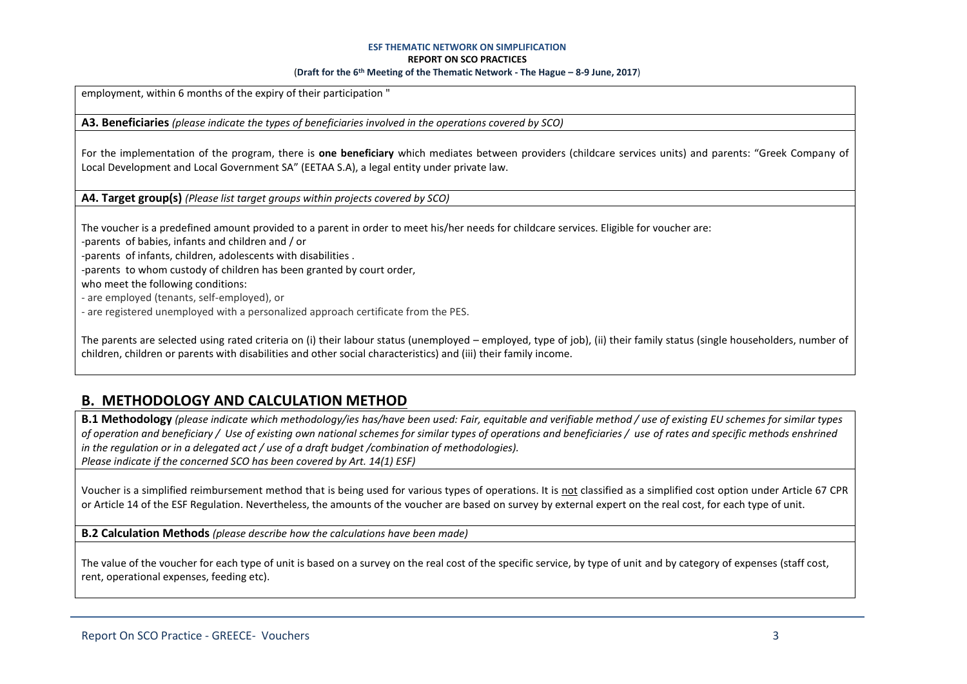employment, within 6 months of the expiry of their participation "

**A3. Beneficiaries** *(please indicate the types of beneficiaries involved in the operations covered by SCO)*

For the implementation of the program, there is **one beneficiary** which mediates between providers (childcare services units) and parents: "Greek Company of Local Development and Local Government SA" (EETAA S.A), a legal entity under private law.

**A4. Target group(s)** *(Please list target groups within projects covered by SCO)*

The voucher is a predefined amount provided to a parent in order to meet his/her needs for childcare services. Eligible for voucher are:

-parents of babies, infants and children and / or

-parents of infants, children, adolescents with disabilities .

-parents to whom custody of children has been granted by court order,

who meet the following conditions:

- are employed (tenants, self-employed), or

- are registered unemployed with a personalized approach certificate from the PES.

The parents are selected using rated criteria on (i) their labour status (unemployed – employed, type of job), (ii) their family status (single householders, number of children, children or parents with disabilities and other social characteristics) and (iii) their family income.

# **B. METHODOLOGY AND CALCULATION METHOD**

**B.1 Methodology** *(please indicate which methodology/ies has/have been used: Fair, equitable and verifiable method / use of existing EU schemes for similar types of operation and beneficiary / Use of existing own national schemes for similar types of operations and beneficiaries / use of rates and specific methods enshrined in the regulation or in a delegated act / use of a draft budget /combination of methodologies). Please indicate if the concerned SCO has been covered by Art. 14(1) ESF)*

Voucher is a simplified reimbursement method that is being used for various types of operations. It is not classified as a simplified cost option under Article 67 CPR or Article 14 of the ESF Regulation. Nevertheless, the amounts of the voucher are based on survey by external expert on the real cost, for each type of unit.

**B.2 Calculation Methods** *(please describe how the calculations have been made)*

The value of the voucher for each type of unit is based on a survey on the real cost of the specific service, by type of unit and by category of expenses (staff cost, rent, operational expenses, feeding etc).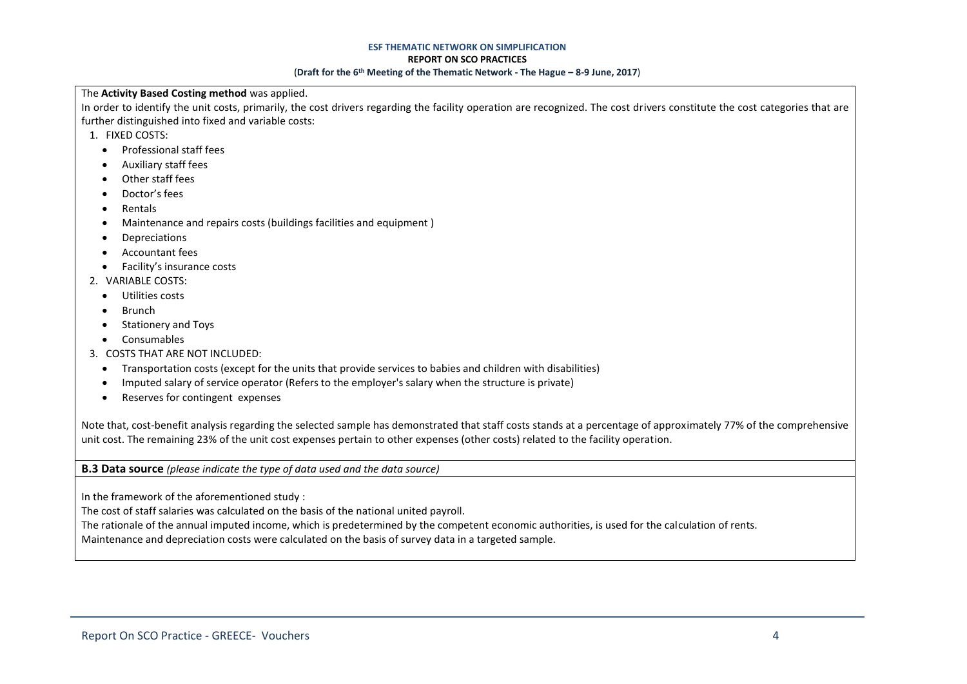#### **ESF THEMATIC NETWORK ON SIMPLIFICATION**

#### **REPORT ON SCO PRACTICES**

#### (**Draft for the 6th Meeting of the Thematic Network - The Hague – 8-9 June, 2017**)

#### The **Activity Based Costing method** was applied.

In order to identify the unit costs, primarily, the cost drivers regarding the facility operation are recognized. The cost drivers constitute the cost categories that are further distinguished into fixed and variable costs:

- 1. FIXED COSTS:
	- **•** Professional staff fees
	- Auxiliary staff fees
	- Other staff fees
	- Doctor's fees
	- Rentals
	- Maintenance and repairs costs (buildings facilities and equipment )
	- Depreciations
	- Accountant fees
	- Facility's insurance costs
- 2. VARIABLE COSTS:
	- Utilities costs
	- Brunch
	- Stationery and Toys
	- Consumables
- 3. COSTS THAT ARE NOT INCLUDED:
	- Transportation costs (except for the units that provide services to babies and children with disabilities)
	- Imputed salary of service operator (Refers to the employer's salary when the structure is private)
	- Reserves for contingent expenses

Note that, cost-benefit analysis regarding the selected sample has demonstrated that staff costs stands at a percentage of approximately 77% of the comprehensive unit cost. The remaining 23% of the unit cost expenses pertain to other expenses (other costs) related to the facility operation.

**B.3 Data source** *(please indicate the type of data used and the data source)*

In the framework of the aforementioned study :

The cost of staff salaries was calculated on the basis of the national united payroll.

The rationale of the annual imputed income, which is predetermined by the competent economic authorities, is used for the calculation of rents.

Maintenance and depreciation costs were calculated on the basis of survey data in a targeted sample.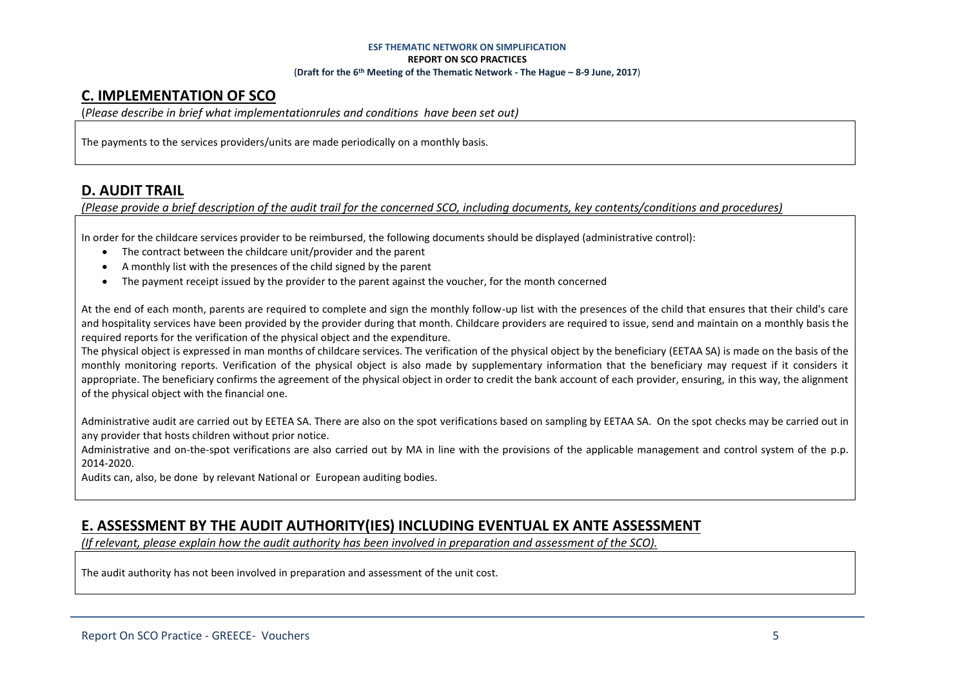# **C. IMPLEMENTATION OF SCO**

(*Please describe in brief what implementationrules and conditions have been set out)*

The payments to the services providers/units are made periodically on a monthly basis.

# **D. AUDIT TRAIL**

*(Please provide a brief description of the audit trail for the concerned SCO, including documents, key contents/conditions and procedures)*

In order for the childcare services provider to be reimbursed, the following documents should be displayed (administrative control):

- The contract between the childcare unit/provider and the parent
- A monthly list with the presences of the child signed by the parent
- The payment receipt issued by the provider to the parent against the voucher, for the month concerned

At the end of each month, parents are required to complete and sign the monthly follow-up list with the presences of the child that ensures that their child's care and hospitality services have been provided by the provider during that month. Childcare providers are required to issue, send and maintain on a monthly basis the required reports for the verification of the physical object and the expenditure.

The physical object is expressed in man months of childcare services. The verification of the physical object by the beneficiary (EETAA SA) is made on the basis of the monthly monitoring reports. Verification of the physical object is also made by supplementary information that the beneficiary may request if it considers it appropriate. The beneficiary confirms the agreement of the physical object in order to credit the bank account of each provider, ensuring, in this way, the alignment of the physical object with the financial one.

Administrative audit are carried out by EETEA SA. There are also on the spot verifications based on sampling by EETAA SA. On the spot checks may be carried out in any provider that hosts children without prior notice.

Administrative and on-the-spot verifications are also carried out by MA in line with the provisions of the applicable management and control system of the p.p. 2014-2020.

Audits can, also, be done by relevant National or European auditing bodies.

# **E. ASSESSMENT BY THE AUDIT AUTHORITY(IES) INCLUDING EVENTUAL EX ANTE ASSESSMENT**

*(If relevant, please explain how the audit authority has been involved in preparation and assessment of the SCO).* 

The audit authority has not been involved in preparation and assessment of the unit cost.